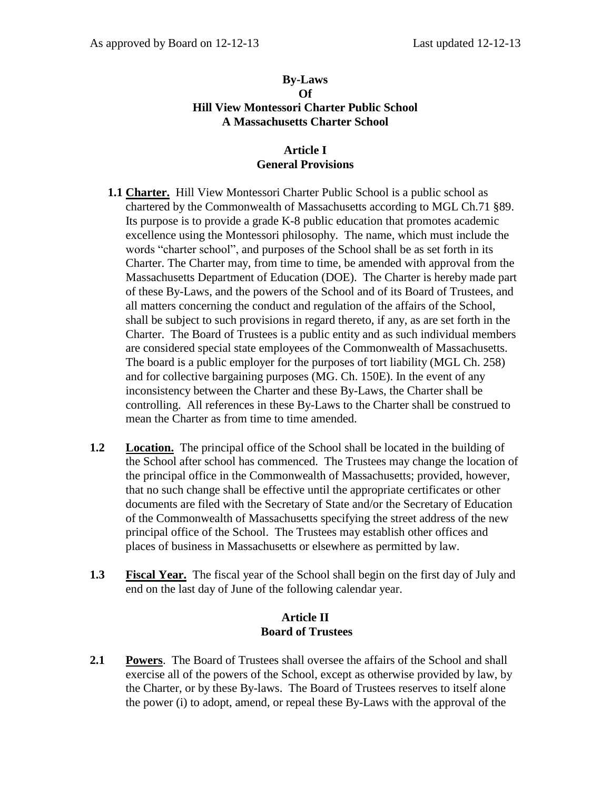#### **By-Laws Of Hill View Montessori Charter Public School A Massachusetts Charter School**

### **Article I General Provisions**

- **1.1 Charter.** Hill View Montessori Charter Public School is a public school as chartered by the Commonwealth of Massachusetts according to MGL Ch.71 §89. Its purpose is to provide a grade K-8 public education that promotes academic excellence using the Montessori philosophy. The name, which must include the words "charter school", and purposes of the School shall be as set forth in its Charter. The Charter may, from time to time, be amended with approval from the Massachusetts Department of Education (DOE). The Charter is hereby made part of these By-Laws, and the powers of the School and of its Board of Trustees, and all matters concerning the conduct and regulation of the affairs of the School, shall be subject to such provisions in regard thereto, if any, as are set forth in the Charter. The Board of Trustees is a public entity and as such individual members are considered special state employees of the Commonwealth of Massachusetts. The board is a public employer for the purposes of tort liability (MGL Ch. 258) and for collective bargaining purposes (MG. Ch. 150E). In the event of any inconsistency between the Charter and these By-Laws, the Charter shall be controlling. All references in these By-Laws to the Charter shall be construed to mean the Charter as from time to time amended.
- **1.2 Location.** The principal office of the School shall be located in the building of the School after school has commenced. The Trustees may change the location of the principal office in the Commonwealth of Massachusetts; provided, however, that no such change shall be effective until the appropriate certificates or other documents are filed with the Secretary of State and/or the Secretary of Education of the Commonwealth of Massachusetts specifying the street address of the new principal office of the School. The Trustees may establish other offices and places of business in Massachusetts or elsewhere as permitted by law.
- **1.3 Fiscal Year.** The fiscal year of the School shall begin on the first day of July and end on the last day of June of the following calendar year.

#### **Article II Board of Trustees**

**2.1 Powers**. The Board of Trustees shall oversee the affairs of the School and shall exercise all of the powers of the School, except as otherwise provided by law, by the Charter, or by these By-laws. The Board of Trustees reserves to itself alone the power (i) to adopt, amend, or repeal these By-Laws with the approval of the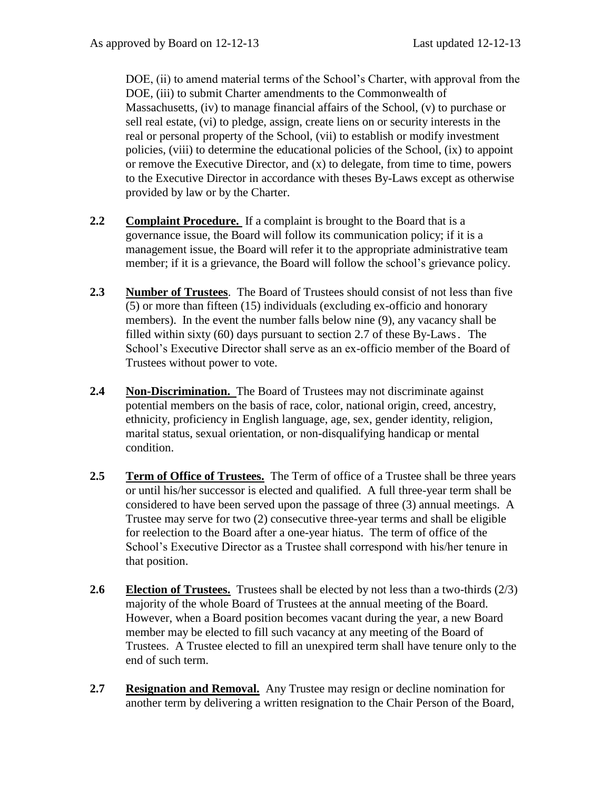DOE, (ii) to amend material terms of the School's Charter, with approval from the DOE, (iii) to submit Charter amendments to the Commonwealth of Massachusetts, (iv) to manage financial affairs of the School, (v) to purchase or sell real estate, (vi) to pledge, assign, create liens on or security interests in the real or personal property of the School, (vii) to establish or modify investment policies, (viii) to determine the educational policies of the School, (ix) to appoint or remove the Executive Director, and  $(x)$  to delegate, from time to time, powers to the Executive Director in accordance with theses By-Laws except as otherwise provided by law or by the Charter.

- **2.2 Complaint Procedure.** If a complaint is brought to the Board that is a governance issue, the Board will follow its communication policy; if it is a management issue, the Board will refer it to the appropriate administrative team member; if it is a grievance, the Board will follow the school's grievance policy.
- **2.3 Number of Trustees**. The Board of Trustees should consist of not less than five (5) or more than fifteen (15) individuals (excluding ex-officio and honorary members). In the event the number falls below nine (9), any vacancy shall be filled within sixty (60) days pursuant to section 2.7 of these By-Laws. The School's Executive Director shall serve as an ex-officio member of the Board of Trustees without power to vote.
- **2.4 Non-Discrimination.** The Board of Trustees may not discriminate against potential members on the basis of race, color, national origin, creed, ancestry, ethnicity, proficiency in English language, age, sex, gender identity, religion, marital status, sexual orientation, or non-disqualifying handicap or mental condition.
- **2.5 Term of Office of Trustees.** The Term of office of a Trustee shall be three years or until his/her successor is elected and qualified. A full three-year term shall be considered to have been served upon the passage of three (3) annual meetings. A Trustee may serve for two (2) consecutive three-year terms and shall be eligible for reelection to the Board after a one-year hiatus. The term of office of the School's Executive Director as a Trustee shall correspond with his/her tenure in that position.
- **2.6 Election of Trustees.** Trustees shall be elected by not less than a two-thirds (2/3) majority of the whole Board of Trustees at the annual meeting of the Board. However, when a Board position becomes vacant during the year, a new Board member may be elected to fill such vacancy at any meeting of the Board of Trustees. A Trustee elected to fill an unexpired term shall have tenure only to the end of such term.
- **2.7 Resignation and Removal.** Any Trustee may resign or decline nomination for another term by delivering a written resignation to the Chair Person of the Board,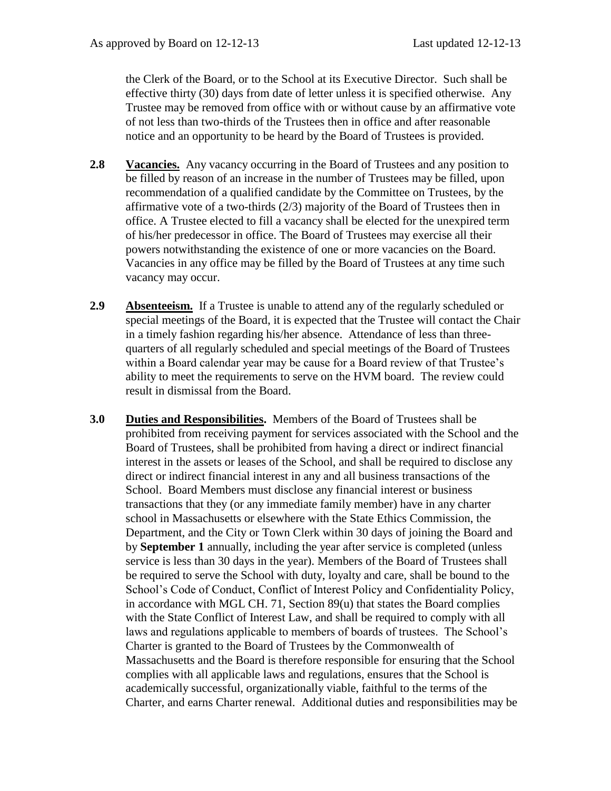the Clerk of the Board, or to the School at its Executive Director. Such shall be effective thirty (30) days from date of letter unless it is specified otherwise. Any Trustee may be removed from office with or without cause by an affirmative vote of not less than two-thirds of the Trustees then in office and after reasonable notice and an opportunity to be heard by the Board of Trustees is provided.

- **2.8 Vacancies.** Any vacancy occurring in the Board of Trustees and any position to be filled by reason of an increase in the number of Trustees may be filled, upon recommendation of a qualified candidate by the Committee on Trustees, by the affirmative vote of a two-thirds (2/3) majority of the Board of Trustees then in office. A Trustee elected to fill a vacancy shall be elected for the unexpired term of his/her predecessor in office. The Board of Trustees may exercise all their powers notwithstanding the existence of one or more vacancies on the Board. Vacancies in any office may be filled by the Board of Trustees at any time such vacancy may occur.
- **2.9 Absenteeism.** If a Trustee is unable to attend any of the regularly scheduled or special meetings of the Board, it is expected that the Trustee will contact the Chair in a timely fashion regarding his/her absence. Attendance of less than threequarters of all regularly scheduled and special meetings of the Board of Trustees within a Board calendar year may be cause for a Board review of that Trustee's ability to meet the requirements to serve on the HVM board. The review could result in dismissal from the Board.
- **3.0 Duties and Responsibilities.** Members of the Board of Trustees shall be prohibited from receiving payment for services associated with the School and the Board of Trustees, shall be prohibited from having a direct or indirect financial interest in the assets or leases of the School, and shall be required to disclose any direct or indirect financial interest in any and all business transactions of the School. Board Members must disclose any financial interest or business transactions that they (or any immediate family member) have in any charter school in Massachusetts or elsewhere with the State Ethics Commission, the Department, and the City or Town Clerk within 30 days of joining the Board and by **September 1** annually, including the year after service is completed (unless service is less than 30 days in the year). Members of the Board of Trustees shall be required to serve the School with duty, loyalty and care, shall be bound to the School's Code of Conduct, Conflict of Interest Policy and Confidentiality Policy, in accordance with MGL CH. 71, Section  $89(u)$  that states the Board complies with the State Conflict of Interest Law, and shall be required to comply with all laws and regulations applicable to members of boards of trustees. The School's Charter is granted to the Board of Trustees by the Commonwealth of Massachusetts and the Board is therefore responsible for ensuring that the School complies with all applicable laws and regulations, ensures that the School is academically successful, organizationally viable, faithful to the terms of the Charter, and earns Charter renewal. Additional duties and responsibilities may be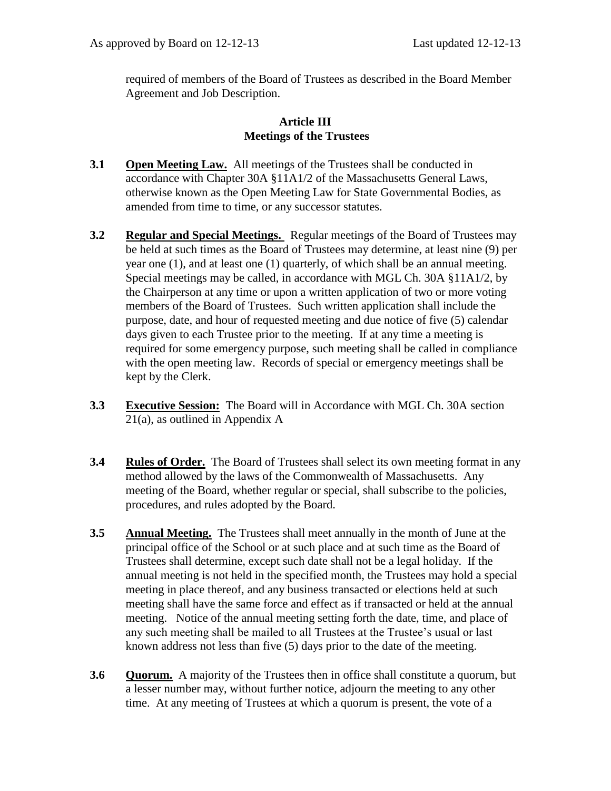required of members of the Board of Trustees as described in the Board Member Agreement and Job Description.

#### **Article III Meetings of the Trustees**

- **3.1 Open Meeting Law.** All meetings of the Trustees shall be conducted in accordance with Chapter 30A §11A1/2 of the Massachusetts General Laws, otherwise known as the Open Meeting Law for State Governmental Bodies, as amended from time to time, or any successor statutes.
- **3.2 Regular and Special Meetings.** Regular meetings of the Board of Trustees may be held at such times as the Board of Trustees may determine, at least nine (9) per year one (1), and at least one (1) quarterly, of which shall be an annual meeting. Special meetings may be called, in accordance with MGL Ch. 30A §11A1/2, by the Chairperson at any time or upon a written application of two or more voting members of the Board of Trustees. Such written application shall include the purpose, date, and hour of requested meeting and due notice of five (5) calendar days given to each Trustee prior to the meeting. If at any time a meeting is required for some emergency purpose, such meeting shall be called in compliance with the open meeting law. Records of special or emergency meetings shall be kept by the Clerk.
- **3.3 Executive Session:** The Board will in Accordance with MGL Ch. 30A section 21(a), as outlined in Appendix A
- **3.4 Rules of Order.** The Board of Trustees shall select its own meeting format in any method allowed by the laws of the Commonwealth of Massachusetts. Any meeting of the Board, whether regular or special, shall subscribe to the policies, procedures, and rules adopted by the Board.
- **3.5 Annual Meeting.** The Trustees shall meet annually in the month of June at the principal office of the School or at such place and at such time as the Board of Trustees shall determine, except such date shall not be a legal holiday. If the annual meeting is not held in the specified month, the Trustees may hold a special meeting in place thereof, and any business transacted or elections held at such meeting shall have the same force and effect as if transacted or held at the annual meeting. Notice of the annual meeting setting forth the date, time, and place of any such meeting shall be mailed to all Trustees at the Trustee's usual or last known address not less than five (5) days prior to the date of the meeting.
- **3.6 Quorum.** A majority of the Trustees then in office shall constitute a quorum, but a lesser number may, without further notice, adjourn the meeting to any other time. At any meeting of Trustees at which a quorum is present, the vote of a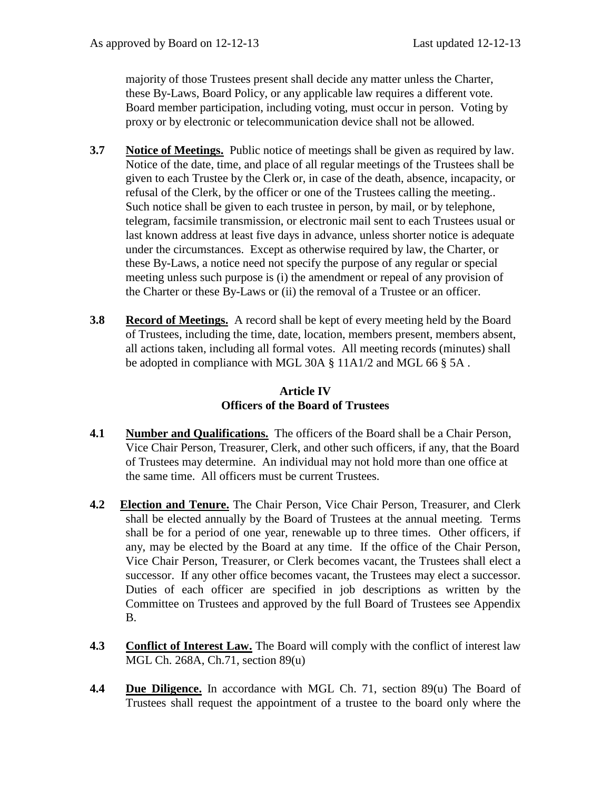majority of those Trustees present shall decide any matter unless the Charter, these By-Laws, Board Policy, or any applicable law requires a different vote. Board member participation, including voting, must occur in person. Voting by proxy or by electronic or telecommunication device shall not be allowed.

- **3.7 Notice of Meetings.** Public notice of meetings shall be given as required by law. Notice of the date, time, and place of all regular meetings of the Trustees shall be given to each Trustee by the Clerk or, in case of the death, absence, incapacity, or refusal of the Clerk, by the officer or one of the Trustees calling the meeting.. Such notice shall be given to each trustee in person, by mail, or by telephone, telegram, facsimile transmission, or electronic mail sent to each Trustees usual or last known address at least five days in advance, unless shorter notice is adequate under the circumstances. Except as otherwise required by law, the Charter, or these By-Laws, a notice need not specify the purpose of any regular or special meeting unless such purpose is (i) the amendment or repeal of any provision of the Charter or these By-Laws or (ii) the removal of a Trustee or an officer.
- **3.8 Record of Meetings.** A record shall be kept of every meeting held by the Board of Trustees, including the time, date, location, members present, members absent, all actions taken, including all formal votes. All meeting records (minutes) shall be adopted in compliance with MGL 30A § 11A1/2 and MGL 66 § 5A .

## **Article IV Officers of the Board of Trustees**

- **4.1** Number and Qualifications. The officers of the Board shall be a Chair Person, Vice Chair Person, Treasurer, Clerk, and other such officers, if any, that the Board of Trustees may determine. An individual may not hold more than one office at the same time. All officers must be current Trustees.
- **4.2 Election and Tenure.** The Chair Person, Vice Chair Person, Treasurer, and Clerk shall be elected annually by the Board of Trustees at the annual meeting. Terms shall be for a period of one year, renewable up to three times. Other officers, if any, may be elected by the Board at any time. If the office of the Chair Person, Vice Chair Person, Treasurer, or Clerk becomes vacant, the Trustees shall elect a successor. If any other office becomes vacant, the Trustees may elect a successor. Duties of each officer are specified in job descriptions as written by the Committee on Trustees and approved by the full Board of Trustees see Appendix B.
- **4.3 Conflict of Interest Law.** The Board will comply with the conflict of interest law MGL Ch. 268A, Ch.71, section 89(u)
- **4.4** Due Diligence. In accordance with MGL Ch. 71, section 89(u) The Board of Trustees shall request the appointment of a trustee to the board only where the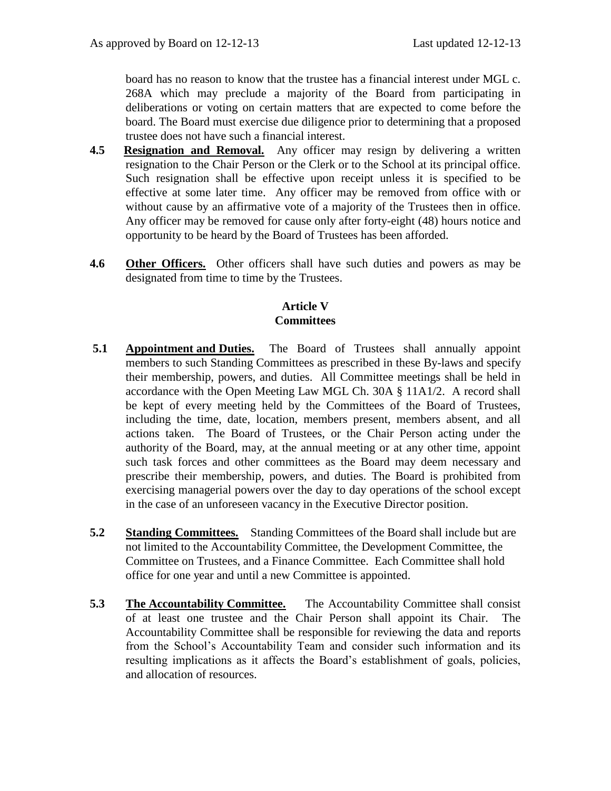board has no reason to know that the trustee has a financial interest under MGL c. 268A which may preclude a majority of the Board from participating in deliberations or voting on certain matters that are expected to come before the board. The Board must exercise due diligence prior to determining that a proposed trustee does not have such a financial interest.

- **4.5 Resignation and Removal.** Any officer may resign by delivering a written resignation to the Chair Person or the Clerk or to the School at its principal office. Such resignation shall be effective upon receipt unless it is specified to be effective at some later time. Any officer may be removed from office with or without cause by an affirmative vote of a majority of the Trustees then in office. Any officer may be removed for cause only after forty-eight (48) hours notice and opportunity to be heard by the Board of Trustees has been afforded.
- **4.6 Other Officers.** Other officers shall have such duties and powers as may be designated from time to time by the Trustees.

## **Article V Committees**

- **5.1 Appointment and Duties.** The Board of Trustees shall annually appoint members to such Standing Committees as prescribed in these By-laws and specify their membership, powers, and duties. All Committee meetings shall be held in accordance with the Open Meeting Law MGL Ch. 30A § 11A1/2. A record shall be kept of every meeting held by the Committees of the Board of Trustees, including the time, date, location, members present, members absent, and all actions taken. The Board of Trustees, or the Chair Person acting under the authority of the Board, may, at the annual meeting or at any other time, appoint such task forces and other committees as the Board may deem necessary and prescribe their membership, powers, and duties. The Board is prohibited from exercising managerial powers over the day to day operations of the school except in the case of an unforeseen vacancy in the Executive Director position.
- **5.2 Standing Committees.** Standing Committees of the Board shall include but are not limited to the Accountability Committee, the Development Committee, the Committee on Trustees, and a Finance Committee. Each Committee shall hold office for one year and until a new Committee is appointed.
- **5.3 The Accountability Committee.** The Accountability Committee shall consist of at least one trustee and the Chair Person shall appoint its Chair. The Accountability Committee shall be responsible for reviewing the data and reports from the School's Accountability Team and consider such information and its resulting implications as it affects the Board's establishment of goals, policies, and allocation of resources.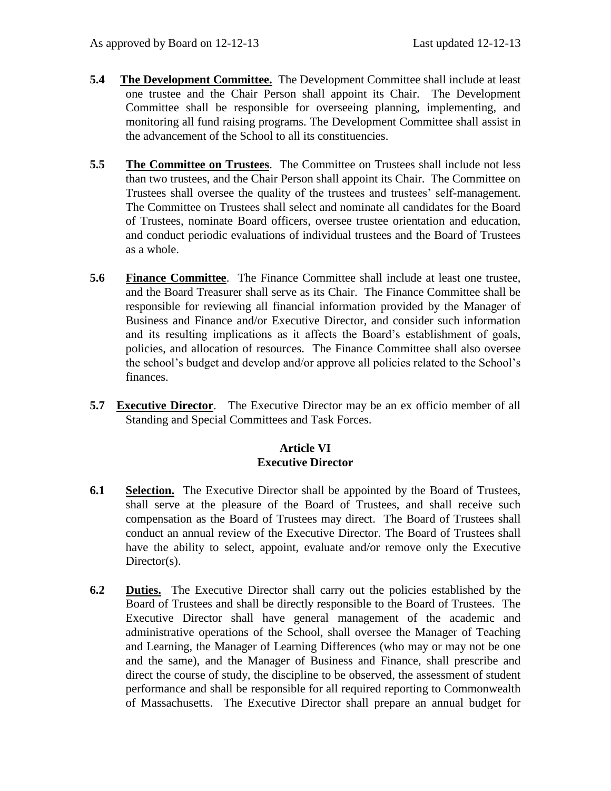- **5.4 The Development Committee.** The Development Committee shall include at least one trustee and the Chair Person shall appoint its Chair. The Development Committee shall be responsible for overseeing planning, implementing, and monitoring all fund raising programs. The Development Committee shall assist in the advancement of the School to all its constituencies.
- **5.5 The Committee on Trustees**. The Committee on Trustees shall include not less than two trustees, and the Chair Person shall appoint its Chair. The Committee on Trustees shall oversee the quality of the trustees and trustees' self-management. The Committee on Trustees shall select and nominate all candidates for the Board of Trustees, nominate Board officers, oversee trustee orientation and education, and conduct periodic evaluations of individual trustees and the Board of Trustees as a whole.
- **5.6 Finance Committee**. The Finance Committee shall include at least one trustee, and the Board Treasurer shall serve as its Chair. The Finance Committee shall be responsible for reviewing all financial information provided by the Manager of Business and Finance and/or Executive Director, and consider such information and its resulting implications as it affects the Board's establishment of goals, policies, and allocation of resources. The Finance Committee shall also oversee the school's budget and develop and/or approve all policies related to the School's finances.
- **5.7 Executive Director**. The Executive Director may be an ex officio member of all Standing and Special Committees and Task Forces.

## **Article VI Executive Director**

- **6.1 Selection.** The Executive Director shall be appointed by the Board of Trustees, shall serve at the pleasure of the Board of Trustees, and shall receive such compensation as the Board of Trustees may direct. The Board of Trustees shall conduct an annual review of the Executive Director. The Board of Trustees shall have the ability to select, appoint, evaluate and/or remove only the Executive Director(s).
- **6.2 Duties.** The Executive Director shall carry out the policies established by the Board of Trustees and shall be directly responsible to the Board of Trustees. The Executive Director shall have general management of the academic and administrative operations of the School, shall oversee the Manager of Teaching and Learning, the Manager of Learning Differences (who may or may not be one and the same), and the Manager of Business and Finance, shall prescribe and direct the course of study, the discipline to be observed, the assessment of student performance and shall be responsible for all required reporting to Commonwealth of Massachusetts. The Executive Director shall prepare an annual budget for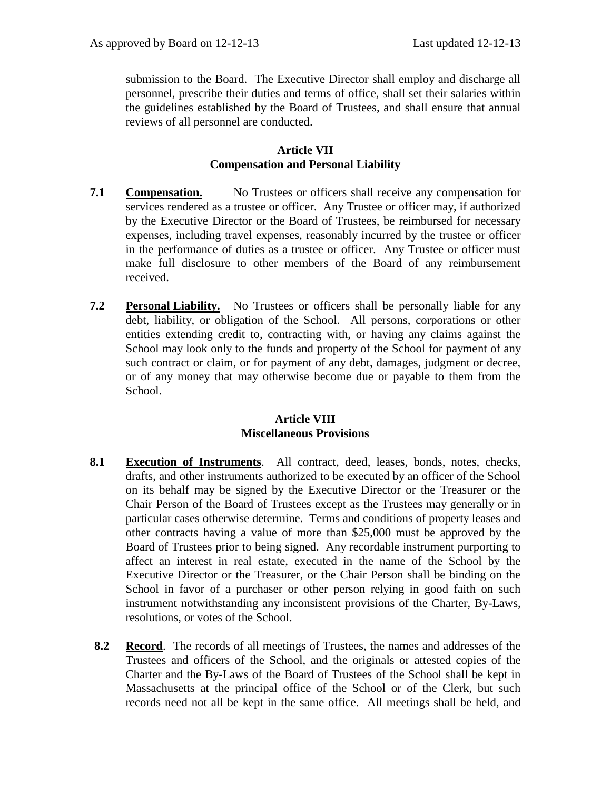submission to the Board. The Executive Director shall employ and discharge all personnel, prescribe their duties and terms of office, shall set their salaries within the guidelines established by the Board of Trustees, and shall ensure that annual reviews of all personnel are conducted.

#### **Article VII Compensation and Personal Liability**

- **7.1 Compensation.** No Trustees or officers shall receive any compensation for services rendered as a trustee or officer. Any Trustee or officer may, if authorized by the Executive Director or the Board of Trustees, be reimbursed for necessary expenses, including travel expenses, reasonably incurred by the trustee or officer in the performance of duties as a trustee or officer. Any Trustee or officer must make full disclosure to other members of the Board of any reimbursement received.
- **7.2 Personal Liability.** No Trustees or officers shall be personally liable for any debt, liability, or obligation of the School. All persons, corporations or other entities extending credit to, contracting with, or having any claims against the School may look only to the funds and property of the School for payment of any such contract or claim, or for payment of any debt, damages, judgment or decree, or of any money that may otherwise become due or payable to them from the School.

#### **Article VIII Miscellaneous Provisions**

- **8.1 Execution of Instruments**. All contract, deed, leases, bonds, notes, checks, drafts, and other instruments authorized to be executed by an officer of the School on its behalf may be signed by the Executive Director or the Treasurer or the Chair Person of the Board of Trustees except as the Trustees may generally or in particular cases otherwise determine. Terms and conditions of property leases and other contracts having a value of more than \$25,000 must be approved by the Board of Trustees prior to being signed. Any recordable instrument purporting to affect an interest in real estate, executed in the name of the School by the Executive Director or the Treasurer, or the Chair Person shall be binding on the School in favor of a purchaser or other person relying in good faith on such instrument notwithstanding any inconsistent provisions of the Charter, By-Laws, resolutions, or votes of the School.
- **8.2 Record**. The records of all meetings of Trustees, the names and addresses of the Trustees and officers of the School, and the originals or attested copies of the Charter and the By-Laws of the Board of Trustees of the School shall be kept in Massachusetts at the principal office of the School or of the Clerk, but such records need not all be kept in the same office. All meetings shall be held, and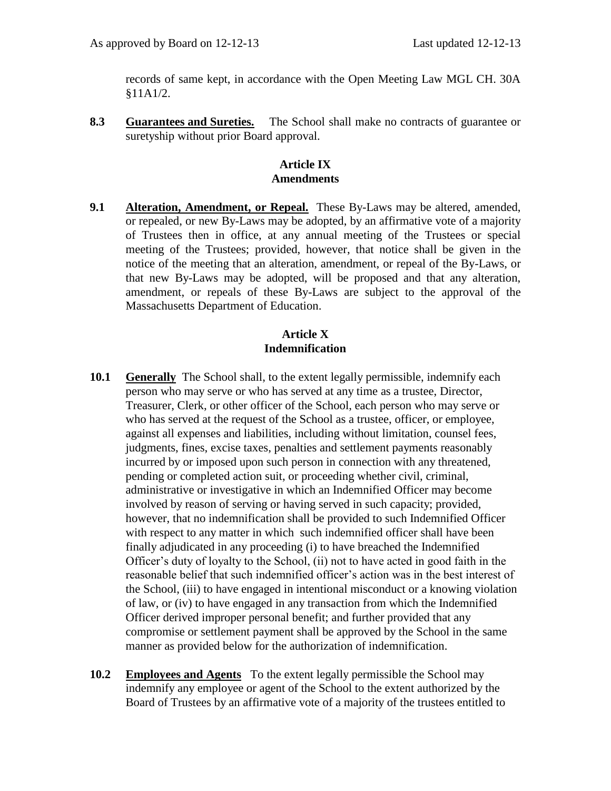records of same kept, in accordance with the Open Meeting Law MGL CH. 30A §11A1/2.

**8.3 Guarantees and Sureties.** The School shall make no contracts of guarantee or suretyship without prior Board approval.

## **Article IX Amendments**

**9.1 Alteration, Amendment, or Repeal.** These By-Laws may be altered, amended, or repealed, or new By-Laws may be adopted, by an affirmative vote of a majority of Trustees then in office, at any annual meeting of the Trustees or special meeting of the Trustees; provided, however, that notice shall be given in the notice of the meeting that an alteration, amendment, or repeal of the By-Laws, or that new By-Laws may be adopted, will be proposed and that any alteration, amendment, or repeals of these By-Laws are subject to the approval of the Massachusetts Department of Education.

## **Article X Indemnification**

- **10.1 Generally** The School shall, to the extent legally permissible, indemnify each person who may serve or who has served at any time as a trustee, Director, Treasurer, Clerk, or other officer of the School, each person who may serve or who has served at the request of the School as a trustee, officer, or employee, against all expenses and liabilities, including without limitation, counsel fees, judgments, fines, excise taxes, penalties and settlement payments reasonably incurred by or imposed upon such person in connection with any threatened, pending or completed action suit, or proceeding whether civil, criminal, administrative or investigative in which an Indemnified Officer may become involved by reason of serving or having served in such capacity; provided, however, that no indemnification shall be provided to such Indemnified Officer with respect to any matter in which such indemnified officer shall have been finally adjudicated in any proceeding (i) to have breached the Indemnified Officer's duty of loyalty to the School, (ii) not to have acted in good faith in the reasonable belief that such indemnified officer's action was in the best interest of the School, (iii) to have engaged in intentional misconduct or a knowing violation of law, or (iv) to have engaged in any transaction from which the Indemnified Officer derived improper personal benefit; and further provided that any compromise or settlement payment shall be approved by the School in the same manner as provided below for the authorization of indemnification.
- **10.2 Employees and Agents** To the extent legally permissible the School may indemnify any employee or agent of the School to the extent authorized by the Board of Trustees by an affirmative vote of a majority of the trustees entitled to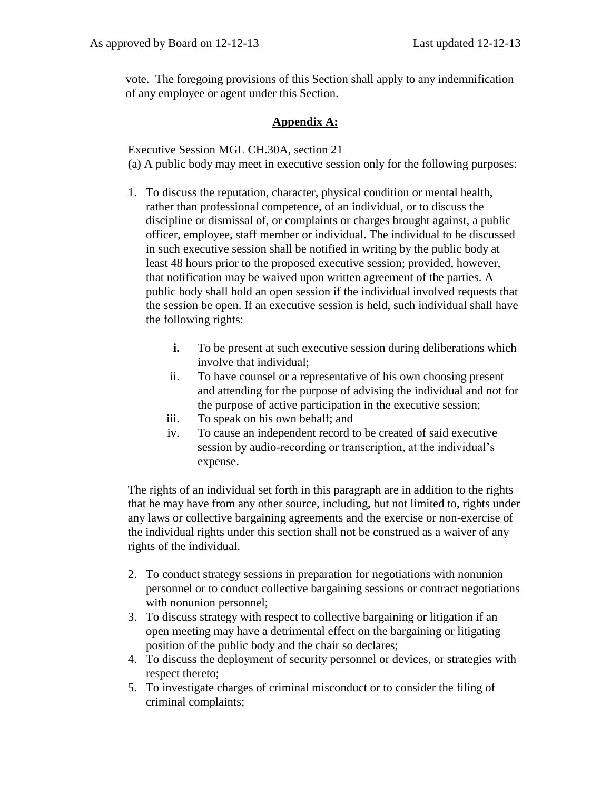vote. The foregoing provisions of this Section shall apply to any indemnification of any employee or agent under this Section.

## **Appendix A:**

Executive Session MGL CH.30A, section 21 (a) A public body may meet in executive session only for the following purposes:

- 1. To discuss the reputation, character, physical condition or mental health, rather than professional competence, of an individual, or to discuss the discipline or dismissal of, or complaints or charges brought against, a public officer, employee, staff member or individual. The individual to be discussed in such executive session shall be notified in writing by the public body at least 48 hours prior to the proposed executive session; provided, however, that notification may be waived upon written agreement of the parties. A public body shall hold an open session if the individual involved requests that the session be open. If an executive session is held, such individual shall have the following rights:
	- **i.** To be present at such executive session during deliberations which involve that individual;
	- ii. To have counsel or a representative of his own choosing present and attending for the purpose of advising the individual and not for the purpose of active participation in the executive session;
	- iii. To speak on his own behalf; and
	- iv. To cause an independent record to be created of said executive session by audio-recording or transcription, at the individual's expense.

The rights of an individual set forth in this paragraph are in addition to the rights that he may have from any other source, including, but not limited to, rights under any laws or collective bargaining agreements and the exercise or non-exercise of the individual rights under this section shall not be construed as a waiver of any rights of the individual.

- 2. To conduct strategy sessions in preparation for negotiations with nonunion personnel or to conduct collective bargaining sessions or contract negotiations with nonunion personnel;
- 3. To discuss strategy with respect to collective bargaining or litigation if an open meeting may have a detrimental effect on the bargaining or litigating position of the public body and the chair so declares;
- 4. To discuss the deployment of security personnel or devices, or strategies with respect thereto;
- 5. To investigate charges of criminal misconduct or to consider the filing of criminal complaints;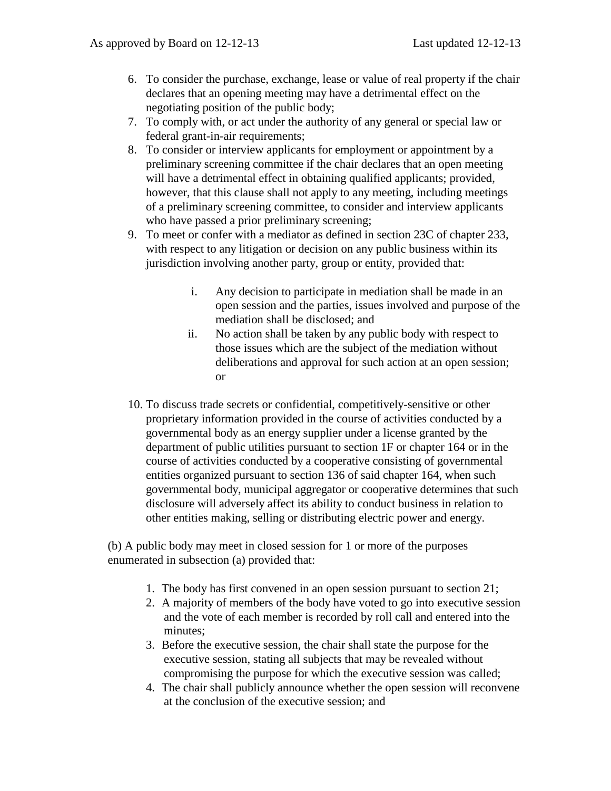- 6. To consider the purchase, exchange, lease or value of real property if the chair declares that an opening meeting may have a detrimental effect on the negotiating position of the public body;
- 7. To comply with, or act under the authority of any general or special law or federal grant-in-air requirements;
- 8. To consider or interview applicants for employment or appointment by a preliminary screening committee if the chair declares that an open meeting will have a detrimental effect in obtaining qualified applicants; provided, however, that this clause shall not apply to any meeting, including meetings of a preliminary screening committee, to consider and interview applicants who have passed a prior preliminary screening;
- 9. To meet or confer with a mediator as defined in section 23C of chapter 233, with respect to any litigation or decision on any public business within its jurisdiction involving another party, group or entity, provided that:
	- i. Any decision to participate in mediation shall be made in an open session and the parties, issues involved and purpose of the mediation shall be disclosed; and
	- ii. No action shall be taken by any public body with respect to those issues which are the subject of the mediation without deliberations and approval for such action at an open session; or
- 10. To discuss trade secrets or confidential, competitively-sensitive or other proprietary information provided in the course of activities conducted by a governmental body as an energy supplier under a license granted by the department of public utilities pursuant to section 1F or chapter 164 or in the course of activities conducted by a cooperative consisting of governmental entities organized pursuant to section 136 of said chapter 164, when such governmental body, municipal aggregator or cooperative determines that such disclosure will adversely affect its ability to conduct business in relation to other entities making, selling or distributing electric power and energy.

(b) A public body may meet in closed session for 1 or more of the purposes enumerated in subsection (a) provided that:

- 1. The body has first convened in an open session pursuant to section 21;
- 2. A majority of members of the body have voted to go into executive session and the vote of each member is recorded by roll call and entered into the minutes;
- 3. Before the executive session, the chair shall state the purpose for the executive session, stating all subjects that may be revealed without compromising the purpose for which the executive session was called;
- 4. The chair shall publicly announce whether the open session will reconvene at the conclusion of the executive session; and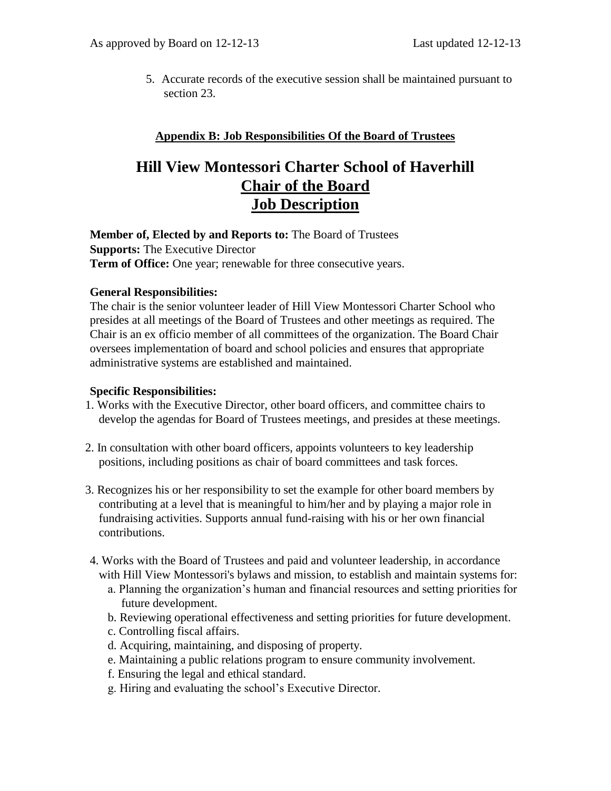5. Accurate records of the executive session shall be maintained pursuant to section 23.

## **Appendix B: Job Responsibilities Of the Board of Trustees**

# **Hill View Montessori Charter School of Haverhill Chair of the Board Job Description**

**Member of, Elected by and Reports to:** The Board of Trustees **Supports:** The Executive Director **Term of Office:** One year; renewable for three consecutive years.

## **General Responsibilities:**

The chair is the senior volunteer leader of Hill View Montessori Charter School who presides at all meetings of the Board of Trustees and other meetings as required. The Chair is an ex officio member of all committees of the organization. The Board Chair oversees implementation of board and school policies and ensures that appropriate administrative systems are established and maintained.

#### **Specific Responsibilities:**

- 1. Works with the Executive Director, other board officers, and committee chairs to develop the agendas for Board of Trustees meetings, and presides at these meetings.
- 2. In consultation with other board officers, appoints volunteers to key leadership positions, including positions as chair of board committees and task forces.
- 3. Recognizes his or her responsibility to set the example for other board members by contributing at a level that is meaningful to him/her and by playing a major role in fundraising activities. Supports annual fund-raising with his or her own financial contributions.
- 4. Works with the Board of Trustees and paid and volunteer leadership, in accordance with Hill View Montessori's bylaws and mission, to establish and maintain systems for:
	- a. Planning the organization's human and financial resources and setting priorities for future development.
	- b. Reviewing operational effectiveness and setting priorities for future development.
	- c. Controlling fiscal affairs.
	- d. Acquiring, maintaining, and disposing of property.
	- e. Maintaining a public relations program to ensure community involvement.
	- f. Ensuring the legal and ethical standard.
	- g. Hiring and evaluating the school's Executive Director.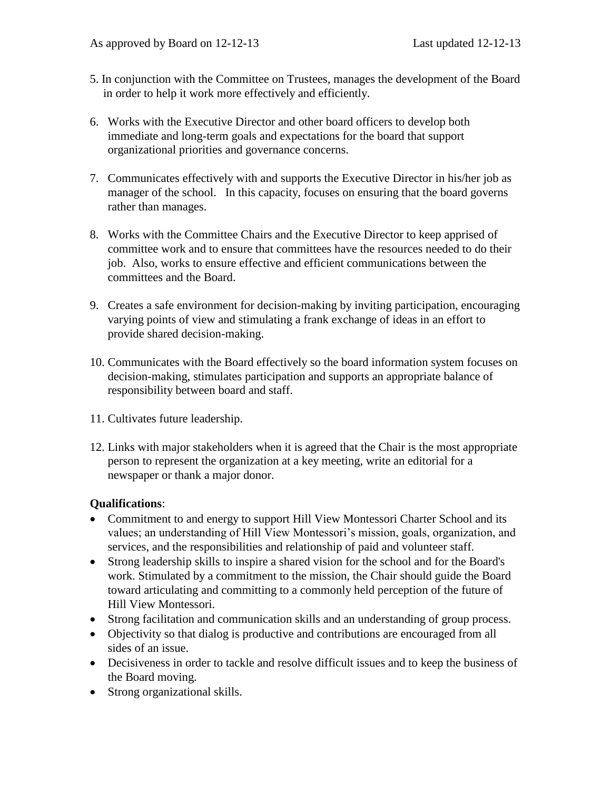- 5. In conjunction with the Committee on Trustees, manages the development of the Board in order to help it work more effectively and efficiently.
- 6. Works with the Executive Director and other board officers to develop both immediate and long-term goals and expectations for the board that support organizational priorities and governance concerns.
- 7. Communicates effectively with and supports the Executive Director in his/her job as manager of the school. In this capacity, focuses on ensuring that the board governs rather than manages.
- 8. Works with the Committee Chairs and the Executive Director to keep apprised of committee work and to ensure that committees have the resources needed to do their job. Also, works to ensure effective and efficient communications between the committees and the Board.
- 9. Creates a safe environment for decision-making by inviting participation, encouraging varying points of view and stimulating a frank exchange of ideas in an effort to provide shared decision-making.
- 10. Communicates with the Board effectively so the board information system focuses on decision-making, stimulates participation and supports an appropriate balance of responsibility between board and staff.
- 11. Cultivates future leadership.
- 12. Links with major stakeholders when it is agreed that the Chair is the most appropriate person to represent the organization at a key meeting, write an editorial for a newspaper or thank a major donor.

## **Qualifications**:

- Commitment to and energy to support Hill View Montessori Charter School and its values; an understanding of Hill View Montessori's mission, goals, organization, and services, and the responsibilities and relationship of paid and volunteer staff.
- Strong leadership skills to inspire a shared vision for the school and for the Board's work. Stimulated by a commitment to the mission, the Chair should guide the Board toward articulating and committing to a commonly held perception of the future of Hill View Montessori.
- Strong facilitation and communication skills and an understanding of group process.
- Objectivity so that dialog is productive and contributions are encouraged from all sides of an issue.
- Decisiveness in order to tackle and resolve difficult issues and to keep the business of the Board moving.
- Strong organizational skills.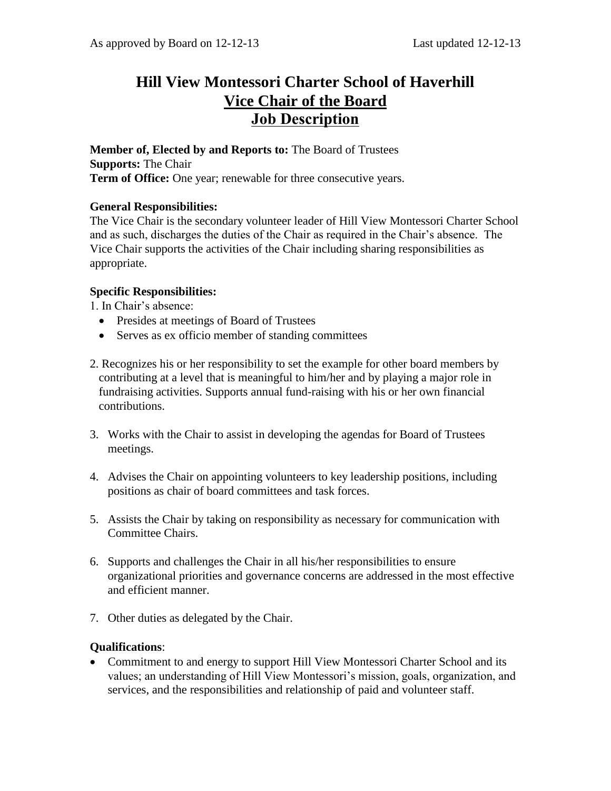# **Hill View Montessori Charter School of Haverhill Vice Chair of the Board Job Description**

**Member of, Elected by and Reports to:** The Board of Trustees **Supports:** The Chair **Term of Office:** One year; renewable for three consecutive years.

## **General Responsibilities:**

The Vice Chair is the secondary volunteer leader of Hill View Montessori Charter School and as such, discharges the duties of the Chair as required in the Chair's absence. The Vice Chair supports the activities of the Chair including sharing responsibilities as appropriate.

## **Specific Responsibilities:**

1. In Chair's absence:

- Presides at meetings of Board of Trustees
- Serves as ex officio member of standing committees
- 2. Recognizes his or her responsibility to set the example for other board members by contributing at a level that is meaningful to him/her and by playing a major role in fundraising activities. Supports annual fund-raising with his or her own financial contributions.
- 3. Works with the Chair to assist in developing the agendas for Board of Trustees meetings.
- 4. Advises the Chair on appointing volunteers to key leadership positions, including positions as chair of board committees and task forces.
- 5. Assists the Chair by taking on responsibility as necessary for communication with Committee Chairs.
- 6. Supports and challenges the Chair in all his/her responsibilities to ensure organizational priorities and governance concerns are addressed in the most effective and efficient manner.
- 7. Other duties as delegated by the Chair.

## **Qualifications**:

• Commitment to and energy to support Hill View Montessori Charter School and its values; an understanding of Hill View Montessori's mission, goals, organization, and services, and the responsibilities and relationship of paid and volunteer staff.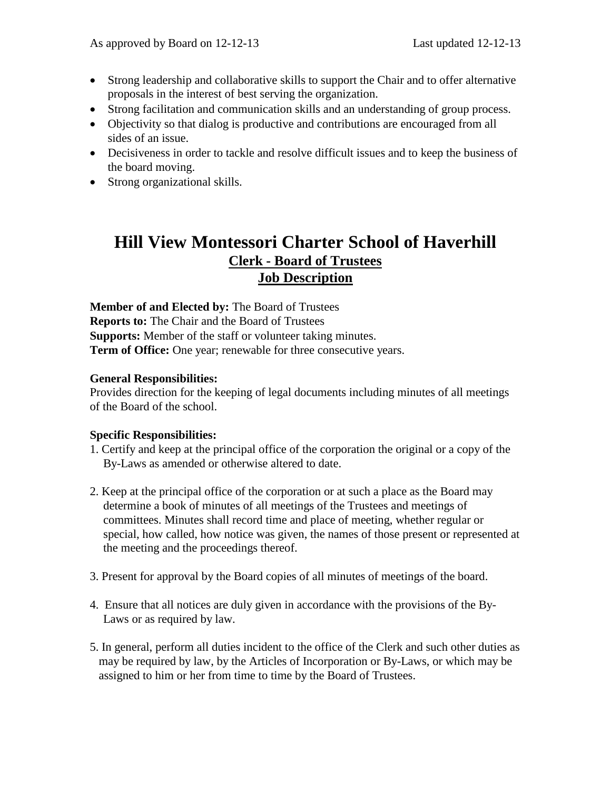- Strong leadership and collaborative skills to support the Chair and to offer alternative proposals in the interest of best serving the organization.
- Strong facilitation and communication skills and an understanding of group process.
- Objectivity so that dialog is productive and contributions are encouraged from all sides of an issue.
- Decisiveness in order to tackle and resolve difficult issues and to keep the business of the board moving.
- Strong organizational skills.

# **Hill View Montessori Charter School of Haverhill Clerk - Board of Trustees Job Description**

**Member of and Elected by:** The Board of Trustees **Reports to:** The Chair and the Board of Trustees **Supports:** Member of the staff or volunteer taking minutes. **Term of Office:** One year; renewable for three consecutive years.

## **General Responsibilities:**

Provides direction for the keeping of legal documents including minutes of all meetings of the Board of the school.

## **Specific Responsibilities:**

- 1. Certify and keep at the principal office of the corporation the original or a copy of the By-Laws as amended or otherwise altered to date.
- 2. Keep at the principal office of the corporation or at such a place as the Board may determine a book of minutes of all meetings of the Trustees and meetings of committees. Minutes shall record time and place of meeting, whether regular or special, how called, how notice was given, the names of those present or represented at the meeting and the proceedings thereof.
- 3. Present for approval by the Board copies of all minutes of meetings of the board.
- 4. Ensure that all notices are duly given in accordance with the provisions of the By-Laws or as required by law.
- 5. In general, perform all duties incident to the office of the Clerk and such other duties as may be required by law, by the Articles of Incorporation or By-Laws, or which may be assigned to him or her from time to time by the Board of Trustees.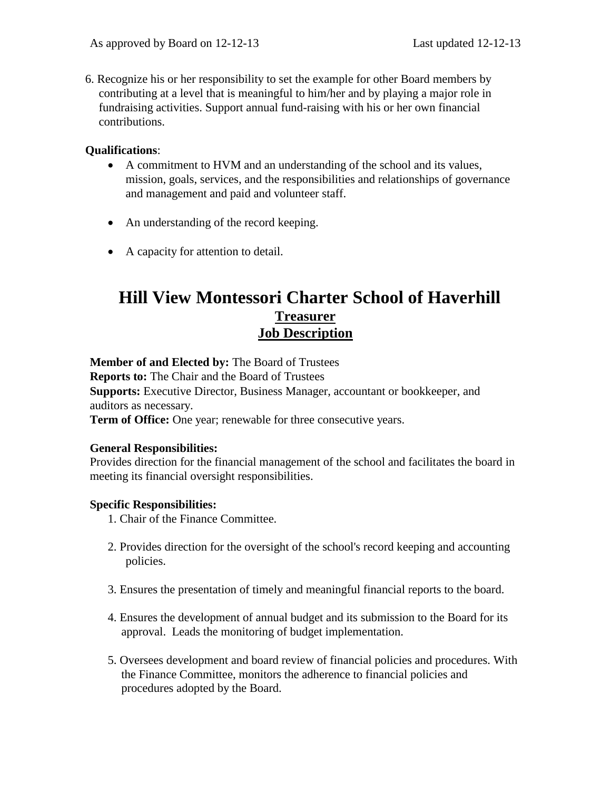6. Recognize his or her responsibility to set the example for other Board members by contributing at a level that is meaningful to him/her and by playing a major role in fundraising activities. Support annual fund-raising with his or her own financial contributions.

#### **Qualifications**:

- A commitment to HVM and an understanding of the school and its values, mission, goals, services, and the responsibilities and relationships of governance and management and paid and volunteer staff.
- An understanding of the record keeping.
- A capacity for attention to detail.

## **Hill View Montessori Charter School of Haverhill Treasurer Job Description**

**Member of and Elected by:** The Board of Trustees

**Reports to:** The Chair and the Board of Trustees

**Supports:** Executive Director, Business Manager, accountant or bookkeeper, and auditors as necessary.

**Term of Office:** One year; renewable for three consecutive years.

#### **General Responsibilities:**

Provides direction for the financial management of the school and facilitates the board in meeting its financial oversight responsibilities.

## **Specific Responsibilities:**

- 1. Chair of the Finance Committee.
- 2. Provides direction for the oversight of the school's record keeping and accounting policies.
- 3. Ensures the presentation of timely and meaningful financial reports to the board.
- 4. Ensures the development of annual budget and its submission to the Board for its approval. Leads the monitoring of budget implementation.
- 5. Oversees development and board review of financial policies and procedures. With the Finance Committee, monitors the adherence to financial policies and procedures adopted by the Board.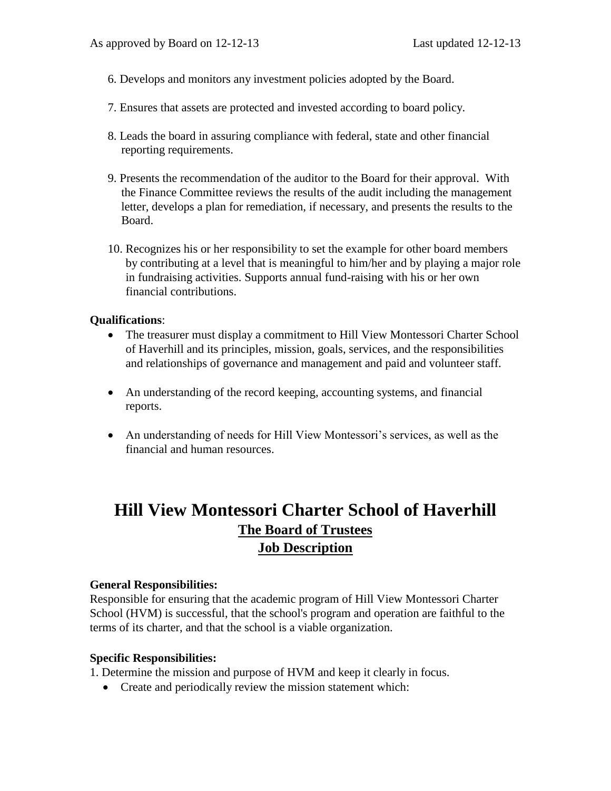- 6. Develops and monitors any investment policies adopted by the Board.
- 7. Ensures that assets are protected and invested according to board policy.
- 8. Leads the board in assuring compliance with federal, state and other financial reporting requirements.
- 9. Presents the recommendation of the auditor to the Board for their approval. With the Finance Committee reviews the results of the audit including the management letter, develops a plan for remediation, if necessary, and presents the results to the Board.
- 10. Recognizes his or her responsibility to set the example for other board members by contributing at a level that is meaningful to him/her and by playing a major role in fundraising activities. Supports annual fund-raising with his or her own financial contributions.

#### **Qualifications**:

- The treasurer must display a commitment to Hill View Montessori Charter School of Haverhill and its principles, mission, goals, services, and the responsibilities and relationships of governance and management and paid and volunteer staff.
- An understanding of the record keeping, accounting systems, and financial reports.
- An understanding of needs for Hill View Montessori's services, as well as the financial and human resources.

# **Hill View Montessori Charter School of Haverhill The Board of Trustees Job Description**

#### **General Responsibilities:**

Responsible for ensuring that the academic program of Hill View Montessori Charter School (HVM) is successful, that the school's program and operation are faithful to the terms of its charter, and that the school is a viable organization.

#### **Specific Responsibilities:**

1. Determine the mission and purpose of HVM and keep it clearly in focus.

• Create and periodically review the mission statement which: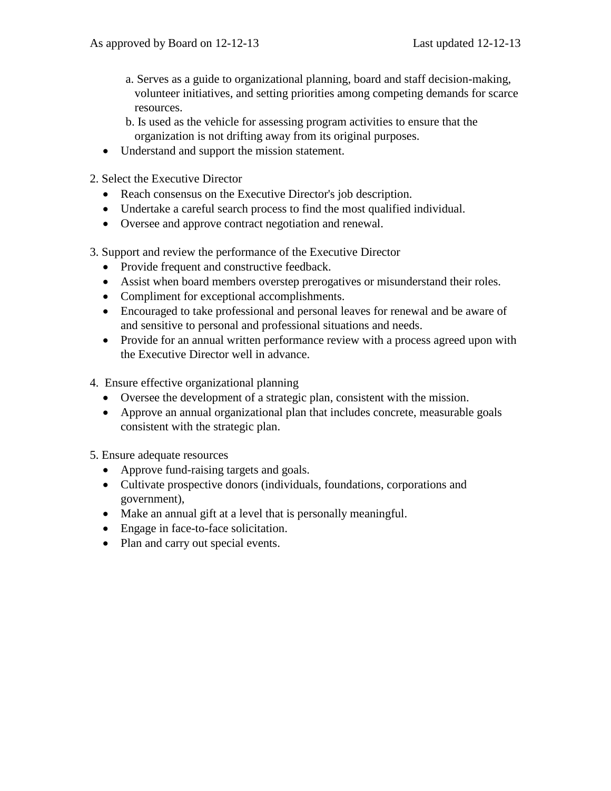- a. Serves as a guide to organizational planning, board and staff decision-making, volunteer initiatives, and setting priorities among competing demands for scarce resources.
- b. Is used as the vehicle for assessing program activities to ensure that the organization is not drifting away from its original purposes.
- Understand and support the mission statement.
- 2. Select the Executive Director
	- Reach consensus on the Executive Director's job description.
	- Undertake a careful search process to find the most qualified individual.
	- Oversee and approve contract negotiation and renewal.
- 3. Support and review the performance of the Executive Director
	- Provide frequent and constructive feedback.
	- Assist when board members overstep prerogatives or misunderstand their roles.
	- Compliment for exceptional accomplishments.
	- Encouraged to take professional and personal leaves for renewal and be aware of and sensitive to personal and professional situations and needs.
	- Provide for an annual written performance review with a process agreed upon with the Executive Director well in advance.
- 4. Ensure effective organizational planning
	- Oversee the development of a strategic plan, consistent with the mission.
	- Approve an annual organizational plan that includes concrete, measurable goals consistent with the strategic plan.

## 5. Ensure adequate resources

- Approve fund-raising targets and goals.
- Cultivate prospective donors (individuals, foundations, corporations and government),
- Make an annual gift at a level that is personally meaningful.
- Engage in face-to-face solicitation.
- Plan and carry out special events.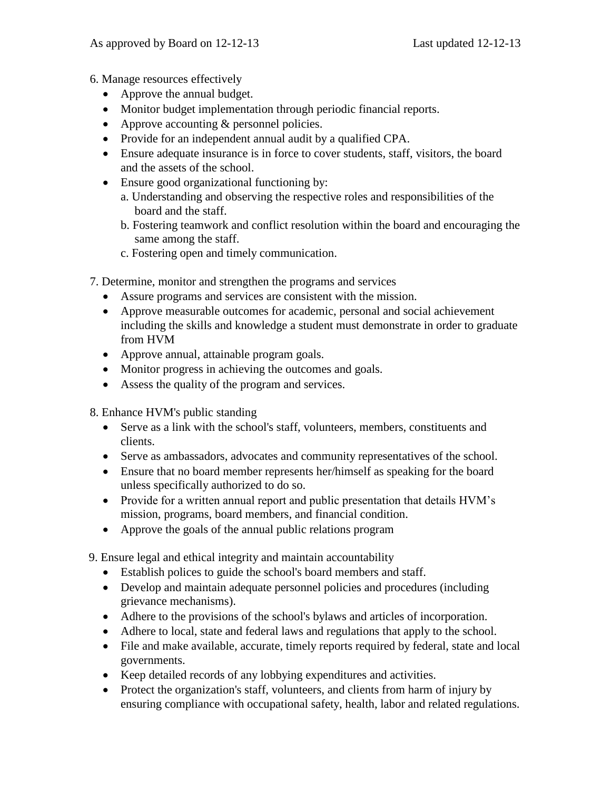- 6. Manage resources effectively
	- Approve the annual budget.
	- Monitor budget implementation through periodic financial reports.
	- Approve accounting & personnel policies.
	- Provide for an independent annual audit by a qualified CPA.
	- Ensure adequate insurance is in force to cover students, staff, visitors, the board and the assets of the school.
	- Ensure good organizational functioning by:
		- a. Understanding and observing the respective roles and responsibilities of the board and the staff.
		- b. Fostering teamwork and conflict resolution within the board and encouraging the same among the staff.
		- c. Fostering open and timely communication.
- 7. Determine, monitor and strengthen the programs and services
	- Assure programs and services are consistent with the mission.
	- Approve measurable outcomes for academic, personal and social achievement including the skills and knowledge a student must demonstrate in order to graduate from HVM
	- Approve annual, attainable program goals.
	- Monitor progress in achieving the outcomes and goals.
	- Assess the quality of the program and services.
- 8. Enhance HVM's public standing
	- Serve as a link with the school's staff, volunteers, members, constituents and clients.
	- Serve as ambassadors, advocates and community representatives of the school.
	- Ensure that no board member represents her/himself as speaking for the board unless specifically authorized to do so.
	- Provide for a written annual report and public presentation that details HVM's mission, programs, board members, and financial condition.
	- Approve the goals of the annual public relations program

9. Ensure legal and ethical integrity and maintain accountability

- Establish polices to guide the school's board members and staff.
- Develop and maintain adequate personnel policies and procedures (including grievance mechanisms).
- Adhere to the provisions of the school's bylaws and articles of incorporation.
- Adhere to local, state and federal laws and regulations that apply to the school.
- File and make available, accurate, timely reports required by federal, state and local governments.
- Keep detailed records of any lobbying expenditures and activities.
- Protect the organization's staff, volunteers, and clients from harm of injury by ensuring compliance with occupational safety, health, labor and related regulations.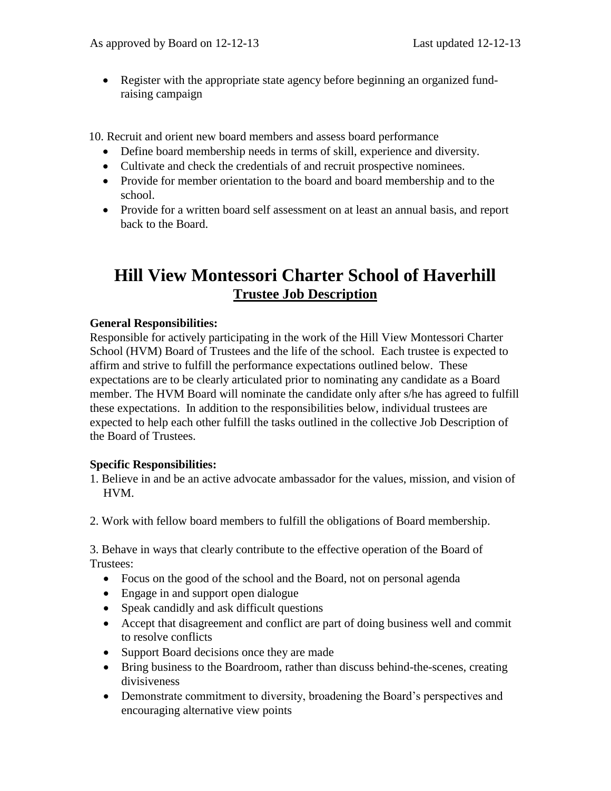Register with the appropriate state agency before beginning an organized fundraising campaign

10. Recruit and orient new board members and assess board performance

- Define board membership needs in terms of skill, experience and diversity.
- Cultivate and check the credentials of and recruit prospective nominees.
- Provide for member orientation to the board and board membership and to the school.
- Provide for a written board self assessment on at least an annual basis, and report back to the Board.

# **Hill View Montessori Charter School of Haverhill Trustee Job Description**

## **General Responsibilities:**

Responsible for actively participating in the work of the Hill View Montessori Charter School (HVM) Board of Trustees and the life of the school. Each trustee is expected to affirm and strive to fulfill the performance expectations outlined below. These expectations are to be clearly articulated prior to nominating any candidate as a Board member. The HVM Board will nominate the candidate only after s/he has agreed to fulfill these expectations. In addition to the responsibilities below, individual trustees are expected to help each other fulfill the tasks outlined in the collective Job Description of the Board of Trustees.

## **Specific Responsibilities:**

- 1. Believe in and be an active advocate ambassador for the values, mission, and vision of HVM.
- 2. Work with fellow board members to fulfill the obligations of Board membership.

3. Behave in ways that clearly contribute to the effective operation of the Board of Trustees:

- Focus on the good of the school and the Board, not on personal agenda
- Engage in and support open dialogue
- Speak candidly and ask difficult questions
- Accept that disagreement and conflict are part of doing business well and commit to resolve conflicts
- Support Board decisions once they are made
- Bring business to the Boardroom, rather than discuss behind-the-scenes, creating divisiveness
- Demonstrate commitment to diversity, broadening the Board's perspectives and encouraging alternative view points